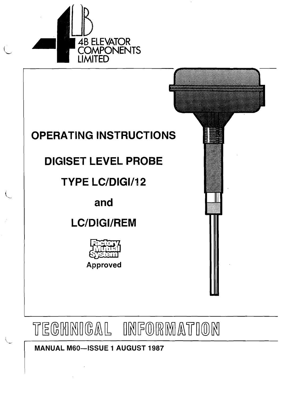

# OPERATING INSTRUCTIONS OPERATING INSTRUCTIONS

# DIGISET LEVEL PROBE DIGISET LEVEL PROBE

# TYPE LC/DIGI/12 TYPE LC/DIGI/12

and and

# LC/DIGI/REM LC/DIGI/REM





MANUAL M60-ISSUE 1 AUGUST 1987 MANUAL M60-ISSUE 1 AUGUST 1987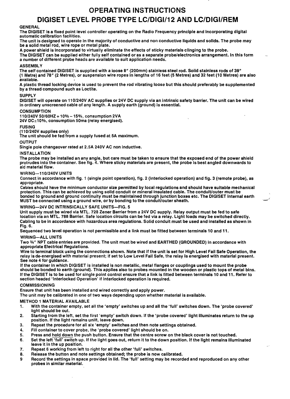# **OPERATING INSTRUCTIONS OPERATING INSTRUCTIONS DIGISET LEVEL PROBE TYPE LC/DIGI/12 AND LC/DIGI/REM DIGISET LEVEL PROBE TYPE LC/DIGI/12 AND LC/DIGI/REM**

### GENERAL GENERAL

The DIGISET is a fixed point level controller operating on the Radio Frequency principle and incorporating digital automatic calibration facilities. automatic calibration facilities.

The unit is designed to operate in the majority of conductive and non conductive liquids and solids. The probe may be a solid metal rod, wire rope or metal plate. be a solid metal rod, wire rope or metal plate.

A power shield is incorporated to virtually eliminate the effects of sticky materials clinging to the probe. A power shield is incorporated to virtually eliminate the effects of sticky materials clinging to the probe. The DIGISET can be supplied either fully self contained or as a separate probe/electronics arrangement. In this form a number of different probe heads are available to suit application needs. a number of different probe heads are available to suit application needs.

## ASSEMBLY ASSEMBLY

The self contained DIGISET is supplied with a loose 8" (200mm) stainless steel rod. Solid stainless rods of 39" The self contained DIGISET is supplied with a loose 8" (200mm) stainless steel rod. Solid stainless rods of 39" (1 Metre) and 78″ (2 Metres), or suspension wire ropes in lengths of 16 feet (5 Metres) and 32 feet (10 Metres) are also available. available.

A plastic thread locking device is used to prevent the rod vibrating loose but this should preferably be supplemented by a thread compound such as Loctite. by a thread compound such as Loctite.

### SUPPLY SUPPLY

DiGISET will operate on 110/240V AC supplies or 24V DC supply via an intrinsic safety barrier. The unit can be wired in ordinary unscreened cable of any length. A supply earth (ground) is essential. in ordinary unscreened cable of any length. A supply earth (ground) is essential.

#### CONSUMPTION CONSUMPTION

110/240V 50/60HZ+ 10% -15%, consumption 2VA 110/240V 50/60HZ+ 10% -15%, consumption 2VA

24V DC±10%, consumption 50ma (relay energised). 24V DC±10%, consumption 50ma (relay energised).

#### FUSING FUSING

#### (11 0/240V supplies only) (11 0/240V supplies only)

The unit should be fed from a supply fused at 5A maximum. The unit should be fed from a supply fused at 5A maximum.

#### OUTPUT OUTPUT

Single pole changeover rated at 2.SA 240V AC non inductive. Single pole changeover rated at 2.SA 240V AC non inductive.

#### INSTALLATION INSTALLATION

The probe may be installed an any angle, but care must be taken to ensure that the exposed end of the power shield protrudes into the container. See fig. 4. Where sticky materials are present, the probe is best angled downwards to aid material flow. aid material flow.

#### WIRING--110/240V UNITS WIRING--110/240V UNITS

Connect in accordance with fig. 1 (single point operation), fig. 2 (interlocked operation) and fig. 3 (remote probe), as appropriate. appropriate.

Cables should have the minimum conductor size permitted by local regulations and should have suitable mechanical protection. This can be achieved by using solid conduit or mineral insulated cable. The conduit/outer must be bonded to ground and ground continuity must be maintained through junction boxes etc. The DIGISET Internal earth MUST be connected using a ground wire, or by bonding to the conduit/outer sheath. MUST be connected using a ground wire, or by bonding to the conduit/outer sheath. protection. This can be achieved by using solid conduit or mineral insulated cable. The conduit/outer must be bonded to ground and ground continuity must be maintained through junction boxes etc. The DIGISET Internal earth

### WIRING-24V DC INTRINSICALLY SAFE UNITS-FIG. 5 WIRING-24V DC INTRINSICALLY SAFE UNITS-FIG. 5

Unit supply must be wired via MTL. 728 Zener Barrier from a 24V DC supply. Relay output must be fed to safe Unit supply must be wired via MTL. 728 Zener Barrier from a 24V DC supply. Relay output must be fed to safe location via an MTL. 788 Barrier. Safe location circuits can be fed via a relay. Light loads may be switched directly. Cabling to be in accordance with hazardous area regulations. Solid conduit must be used and installed as shown in Fig. 6. Fig. 6.

Sequenced two level operation is not permissible and a link must be fitted between terminals 10 and 11. Sequenced two level operation is not permissible and a link must be fitted between terminals 10 and 11.

### WIRING-ALL UNITS WIRING-ALL UNITS

Two 34″ NPT cable entries are provided. The unit must be wired and EARTHED (GROUNDED) in accordance with appropriate Electrical Regulations. appropriate Electrical Regulations.

Wire to terminal block using the connections shown. Note that if the unit is set for High Level Fail Safe Operation, the relay is de-energised with material present; if set to Low Level Fail Safe, the relay is energised with material present. See note 4 for guidance. See note 4 for guidance.

If the container in which DIGISET is installed is non metallic, metal flanges or couplings used to mount the probe should be bonded to earth (ground). This applies also to probes mounted in the wooden or plastic tops of metal bins. If the DIGISET is to be used for single point control ensure that a link is fitted between terminals 10 and 11. Refer to section headed 'Interlocked Operation' if interlocked operation is required. section headed 'Interlocked Operation' if interlocked operation is required.

#### COMMISSIONING COMMISSIONING

Ensure that unit has been installed and wired correctly and apply power. Ensure that unit has been installed and wired correctly and apply power.

The unit may be calibrated in one of two ways depending upon whether material is available. The unit may be calibrated in one of two ways depending upon whether material is available.

#### METHOD 1 MATERIAL AVAILABLE METHOD 1 MATERIAL AVAILABLE

- 1. With the container empty, set all the 'empty' switches up and all the 'full' switches down. The 'probe covered' light should be out. light should be out.
- 2. Starting from the left, set the first 'empty' switch down. If the 'probe covered' light illuminates return to the up position. If the light remains unlit, leave down. position. If the light remains unlit, leave down.
- 3. Repeat the procedure for all six 'empty' switches and then note settings obtained. 3. Repeat the procedure for all six 'empty' switches and then note settings obtained.
- 4. Fill container to cover probe, the 'probe covered' light should be on. 4. Fill container to cover probe, the 'probe covered' light should be on.
- 5. Press and hold down the push button. Ensure that the centre screw on the black cover is not touched.
- 6. Set the left 'full' switch up. If the light goes out, return it to the down position. If the light remains illuminated leave it in the up position. leave it in the up position.
- 7. Repeat 6 working from left to right for all the other 'full' switches. 7. Repeat 6 working from left to right for all the other 'full' switches.
- 8. Release the button and note settings obtained; the probe is now calibrated. 8. Release the button and note settings obtained; the probe is now calibrated.
- Record the settings in space provided in lid. The 'full' setting may be recorded and reproduced on any other 9 Record the settings in space provided in lid. The 'full' setting may be recorded and reproduced on any other probes in similar material. probes in similar material.9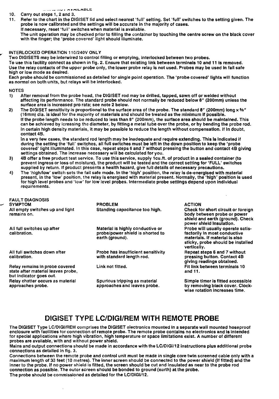#### \_" \_\_ • **.. \_ ... \_\_ I """ Y 1"\1L.}O\DLt:.**  \_" • **.. \_ ... \_\_ <sup>I</sup> """ <sup>Y</sup> 1"\1L.}O\DLt:.**

#### 1O. Carry out steps 1, 2 and 3. 1O. Carry out steps 1, 2 and 3.

11. Refer to the chart in the DIGISET lid and select nearest 'full' setting. Set 'full' switches to the setting given. The probe is now calibrated and the settings will be accurate in the majority of cases. probe is now calibrated and the settings will be accurate in the majority of cases.

If necessary, reset 'full' switches when material is available. If necessary, reset 'full' switches when material is available. The unit operation may be checked prior to filling the container by touching the centre screw on the black cover with the finger; the 'probe covered' light should illuminate. with the finger; the 'probe covered' light should illuminate.

#### INTERLOCKED OPERATION 110/240V ONLY

\_\_\_ INTERLOCKED OPERATION 110/240V ONLY<br>\_\_\_\_Two DIGISETS may be interwired to control filling or emptying, interlocked between two probes. To use this facility connect as shown in fig. 2. Ensure that existing link between terminals 10 and 11 is removed. Use the relay contacts of the upper probe only, the lower probe relay is not used. Probes may be used in fail safe high or low mode as desired. high or low mode as desired.

Each probe should be commissioned as detailed for single point operation. The 'probe covered' lights will function as normal on both units, but relays will be interlocked. as normal on both units, but relays will be interlocked.

NOTES NOTES

,..'

- 1) After removal from the probe head, the DIGISET rod may be drilled, tapped, sawn off or welded without affecting its performance. The standard probe should not normally be reduced below 8" (200mm) unless the affecting its performance. The standard probe should not normally be reduced below 8" (200mm) unless the surface area is increased pro rata; see note 2 below. surface area is increased pro rata; see note 2 below.
- 2) The DIGISET sensitivity is proportional to the surface area of the probe. The standard 8″ (200mm) long × %″ (16mm) dia. is ideal for the majority of materials and should be treated as the minimum If possible. (16mm) dia. is ideal for the majority of materials and should be treated as the minimum If possible. If the probe length needs to be reduced to less than 8" (200mm), the surface area should be maintained. This If the probe length needs to be reduced to less than 8" (200mm), the surface area should be maintained. This can be achieved by icreasing the diameter, by fitting a metal tube over the probe, or by bending the probe rod. can be achieved by icreasing the diameter, by fitting a metal tube over the probe, or by bending the probe rod. In certain high density materials, it may be possible to reduce the length without compensation. If In dOUbt, In certain high density materials, it may be possible to reduce the length without compensation. If In dOUbt, contact 48. contact 48.

In a very few cases, the standard rod length may be inadequate and require extending. This Is Indicated if In a very few cases, the standard rod length may be inadequate and require extending. This Is Indicated if during the setting the 'full' switches, all full switches must be left in the down position to keep the 'probe during the setting the 'full' switches, all full switches must be left in the down position to keep the 'probe covered' light illuminated. In this case, repeat steps 6 and 7 without pressing the button and contact 4B giving settings obtained. The increase necessary will be calculated for you. settings Obtained. The increase necessary will be calculated for you.

- 3) 4B offer a free product test service. To use this service, supply 1cu.ft. of product in a sealed container (to prevent ingress or loss of moisture), the product will be tested and the correct setting for 'FULL' switches prevent ingress or loss of moisture), the product will be tested and the correct setting for 'FULL' switches supplied by return. If product presents a health hazard, give full details of necessary precautions. supplied by return. If product presents a health hazard, give full details of necessary precautions.
- 4) The 'high/low' switch sets the fail safe mode. In the 'high' position, the relay is de-energised with material present, in the 'low' position, the relay is energised with material present. Normally, the 'high' position is used for high level probes and 'low' for low level probes. Intermediate probe settings depend upon individual for high level probes and 'low' for low level probes. Intermediate probe settings depend upon individual requirements. requirements.

| and the second second second second second second second second second second second second second second second second second second second second second second second second second second second second second second seco | <b>FAULT DIAGNOSIS</b><br><b>SYMPTOM</b>                                                        | <b>PROBLEM</b>                                                                          | <b>ACTION</b>                                                                                                                                           |
|--------------------------------------------------------------------------------------------------------------------------------------------------------------------------------------------------------------------------------|-------------------------------------------------------------------------------------------------|-----------------------------------------------------------------------------------------|---------------------------------------------------------------------------------------------------------------------------------------------------------|
|                                                                                                                                                                                                                                | All empty switches up and light<br>remains on.                                                  | Standing capacitance too high,                                                          | Check for short circuit or foreign<br>body between probe or power<br>shield and earth (ground). Check<br>power shield insulation.                       |
|                                                                                                                                                                                                                                | All full switches up after<br>calibration.                                                      | Material is highly conductive or<br>probe/power shield is shorted to<br>earth (ground). | Probe will usually operate satis-<br>factorily in most conductive<br>materials. If material is also<br>sticky, probe should be installed<br>vertically. |
|                                                                                                                                                                                                                                | All full switches down after<br>calibration.                                                    | Probe has insufficient sensitivity<br>with standard length rod.                         | Repeat steps 6 and 7 without<br>pressing button. Contact 4B<br>giving readings obtained.                                                                |
|                                                                                                                                                                                                                                | Relay remains in probe covered<br>state after material leaves probe,<br>but indicator goes out. | Link not fitted.                                                                        | Fit link between terminals 10<br>and 11.                                                                                                                |
|                                                                                                                                                                                                                                | Relay chatter occurs as material<br>approaches probe.                                           | Spurious tripping as material<br>approaches and leaves probe.                           | Simple timer is fitted accessible<br>by removing black cover. Clock-<br>wise rotation increases time.                                                   |

wise rotation increases time. wise rotation increases time.

## **DIGISET TYPE LC/DIGI/REM WITH REMOTE PROBE DIGISET TYPE LC/DIGI/REM WITH REMOTE PROBE**

The DIGISET Type LC/DIGI/REM comprises the DIGISET electronics mounted in a separate wall mounted hoseproof The DIGISET Type LC/DIGI/REM comprises the DIGISET electronics mounted in a separate wall mounted hoseproof enclosure with facilities for connection of remote probe. The remote probe contains no electronics and is intended for special applications where high vibration, high temperature or space limitations exist. A number of different probes are available, with and without power shield. probes are available, with and without power shield.

Mains and output connections should be made in accordance with the LC/DIGI/12 instructions plus additional probe connections as detailed in fig. 3. connections as detailed in fig. 3.

Connections between the remote probe and control unit must be made in single core twin screened cable only with a maximum length of 33 feet (10 metres). The inner screen should be connected to the power shield (if fitted) and the inner to the probe. If no power shield is fitted, the screen should be cut and insulated as near to the probe rod connection as possible. The outer screen should be bonded to ground (earth) at the probe. connection as possible. The outer screen should be bonded to ground (earth) at the probe. The probe should be commissioned as detailed for the LC/DIGI/12. The probe should be commissioned as detailed for the LC/DIGI/12.